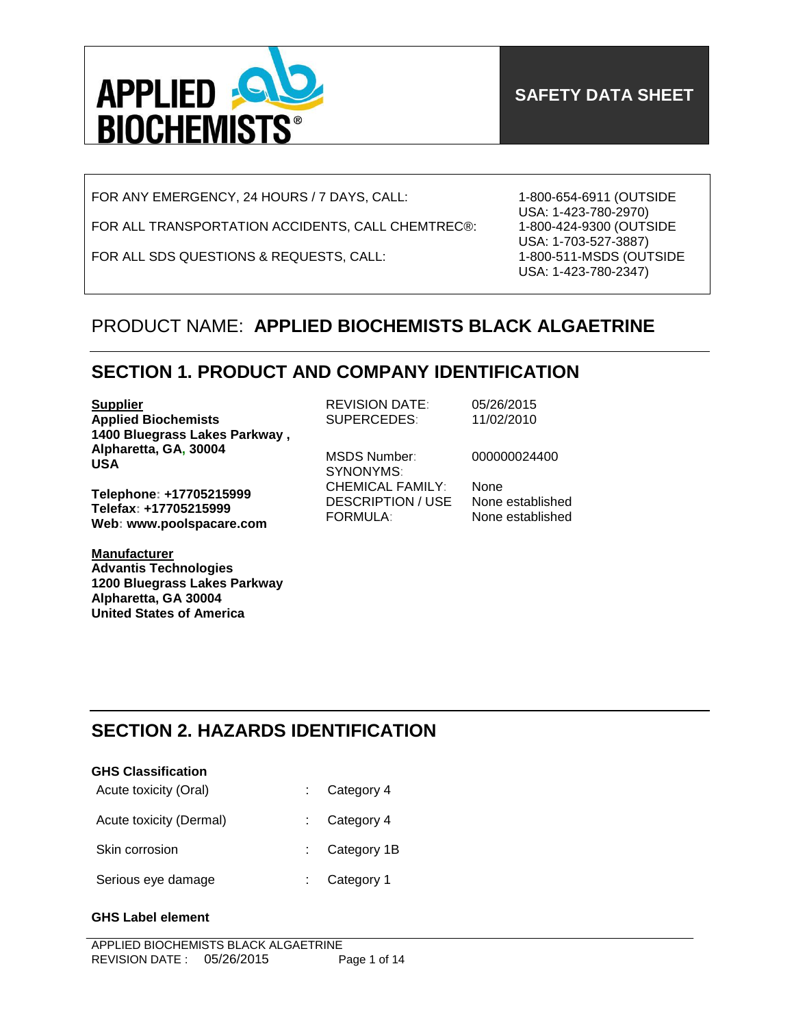

FOR ANY EMERGENCY, 24 HOURS / 7 DAYS, CALL:

FOR ALL TRANSPORTATION ACCIDENTS, CALL CHEMTREC®:

FOR ALL SDS QUESTIONS & REQUESTS, CALL:

1-800-654-6911 (OUTSIDE USA: 1-423-780-2970) 1-800-424-9300 (OUTSIDE USA: 1-703-527-3887) 1-800-511-MSDS (OUTSIDE USA: 1-423-780-2347)

# PRODUCT NAME: **APPLIED BIOCHEMISTS BLACK ALGAETRINE**

# **SECTION 1. PRODUCT AND COMPANY IDENTIFICATION**

**Supplier Applied Biochemists 1400 Bluegrass Lakes Parkway , Alpharetta, GA, 30004 USA**

**Telephone: +17705215999 Telefax: +17705215999 Web: www.poolspacare.com**

**Manufacturer Advantis Technologies 1200 Bluegrass Lakes Parkway Alpharetta, GA 30004 United States of America**

REVISION DATE: 05/26/2015 SUPERCEDES: 11/02/2010

MSDS Number: 000000024400 SYNONYMS: CHEMICAL FAMILY: None DESCRIPTION / USE None established FORMULA: None established

# **SECTION 2. HAZARDS IDENTIFICATION**

| <b>GHS Classification</b> |                         |
|---------------------------|-------------------------|
| Acute toxicity (Oral)     | Category 4              |
| Acute toxicity (Dermal)   | $\therefore$ Category 4 |
| Skin corrosion            | $:$ Category 1B         |
| Serious eye damage        | Category 1              |

### **GHS Label element**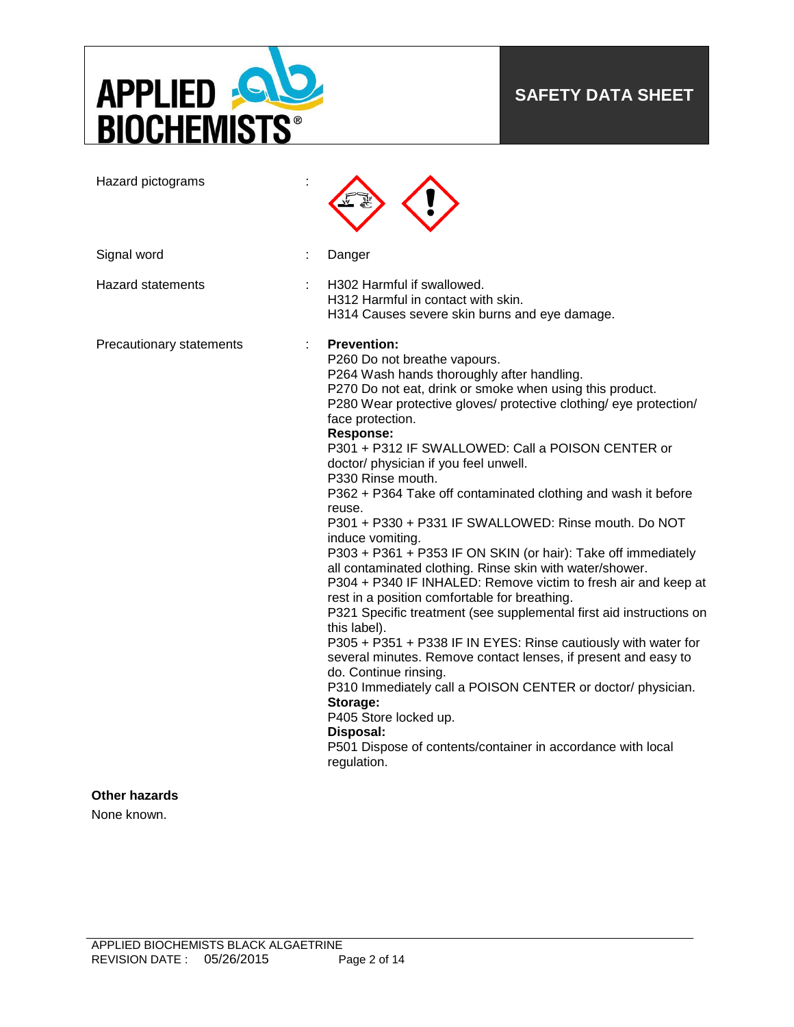

# **SAFETY DATA SHEET**

| Hazard pictograms        |                                                                                                                                                                                                                                                                                                                                                                                                                                                                                                                                                                                                                                                                                                                                                                                                                                                                                                                                                                                                                                                                                                                                                                                                                                                        |
|--------------------------|--------------------------------------------------------------------------------------------------------------------------------------------------------------------------------------------------------------------------------------------------------------------------------------------------------------------------------------------------------------------------------------------------------------------------------------------------------------------------------------------------------------------------------------------------------------------------------------------------------------------------------------------------------------------------------------------------------------------------------------------------------------------------------------------------------------------------------------------------------------------------------------------------------------------------------------------------------------------------------------------------------------------------------------------------------------------------------------------------------------------------------------------------------------------------------------------------------------------------------------------------------|
| Signal word              | Danger                                                                                                                                                                                                                                                                                                                                                                                                                                                                                                                                                                                                                                                                                                                                                                                                                                                                                                                                                                                                                                                                                                                                                                                                                                                 |
| <b>Hazard statements</b> | H302 Harmful if swallowed.<br>H312 Harmful in contact with skin.<br>H314 Causes severe skin burns and eye damage.                                                                                                                                                                                                                                                                                                                                                                                                                                                                                                                                                                                                                                                                                                                                                                                                                                                                                                                                                                                                                                                                                                                                      |
| Precautionary statements | <b>Prevention:</b><br>P260 Do not breathe vapours.<br>P264 Wash hands thoroughly after handling.<br>P270 Do not eat, drink or smoke when using this product.<br>P280 Wear protective gloves/ protective clothing/ eye protection/<br>face protection.<br><b>Response:</b><br>P301 + P312 IF SWALLOWED: Call a POISON CENTER or<br>doctor/ physician if you feel unwell.<br>P330 Rinse mouth.<br>P362 + P364 Take off contaminated clothing and wash it before<br>reuse.<br>P301 + P330 + P331 IF SWALLOWED: Rinse mouth. Do NOT<br>induce vomiting.<br>P303 + P361 + P353 IF ON SKIN (or hair): Take off immediately<br>all contaminated clothing. Rinse skin with water/shower.<br>P304 + P340 IF INHALED: Remove victim to fresh air and keep at<br>rest in a position comfortable for breathing.<br>P321 Specific treatment (see supplemental first aid instructions on<br>this label).<br>P305 + P351 + P338 IF IN EYES: Rinse cautiously with water for<br>several minutes. Remove contact lenses, if present and easy to<br>do. Continue rinsing.<br>P310 Immediately call a POISON CENTER or doctor/ physician.<br>Storage:<br>P405 Store locked up.<br>Disposal:<br>P501 Dispose of contents/container in accordance with local<br>regulation. |
| <b>Other hazards</b>     |                                                                                                                                                                                                                                                                                                                                                                                                                                                                                                                                                                                                                                                                                                                                                                                                                                                                                                                                                                                                                                                                                                                                                                                                                                                        |

None known.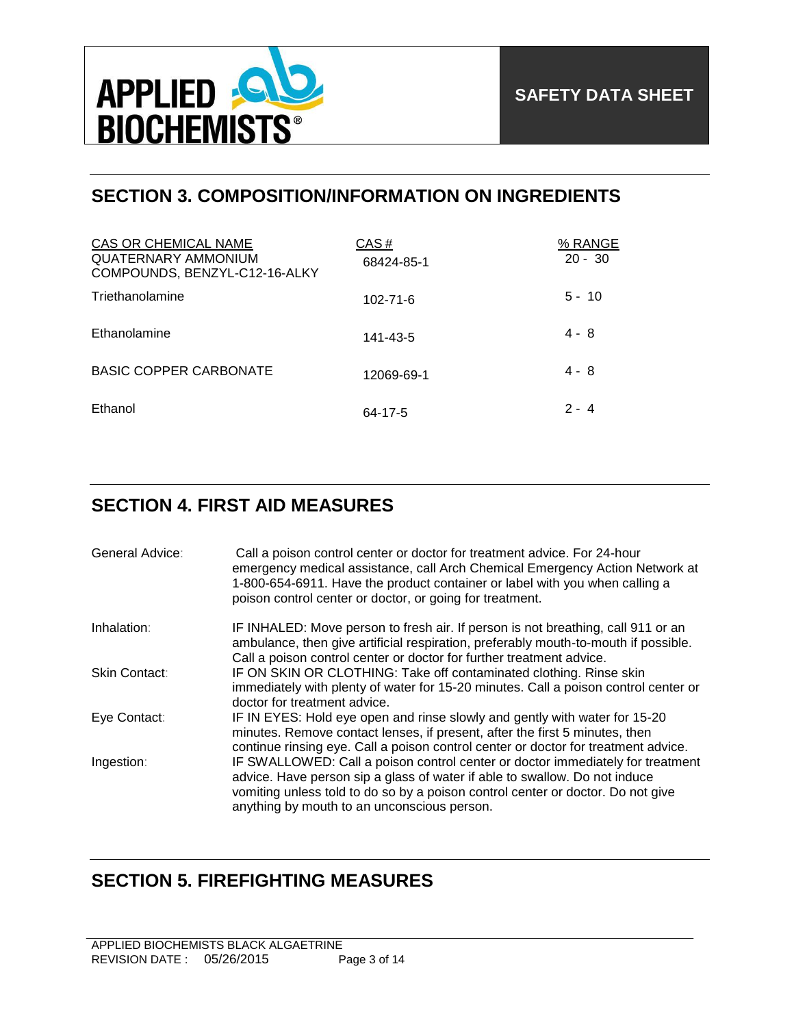

# **SECTION 3. COMPOSITION/INFORMATION ON INGREDIENTS**

| CAS OR CHEMICAL NAME<br><b>QUATERNARY AMMONIUM</b><br>COMPOUNDS, BENZYL-C12-16-ALKY | CAS#<br>68424-85-1 | % RANGE<br>$20 - 30$ |
|-------------------------------------------------------------------------------------|--------------------|----------------------|
| Triethanolamine                                                                     | $102 - 71 - 6$     | $5 - 10$             |
| Ethanolamine                                                                        | 141-43-5           | $4 - 8$              |
| <b>BASIC COPPER CARBONATE</b>                                                       | 12069-69-1         | $4 - 8$              |
| Ethanol                                                                             | 64-17-5            | $2 - 4$              |

## **SECTION 4. FIRST AID MEASURES**

| General Advice: | Call a poison control center or doctor for treatment advice. For 24-hour<br>emergency medical assistance, call Arch Chemical Emergency Action Network at<br>1-800-654-6911. Have the product container or label with you when calling a<br>poison control center or doctor, or going for treatment. |
|-----------------|-----------------------------------------------------------------------------------------------------------------------------------------------------------------------------------------------------------------------------------------------------------------------------------------------------|
| Inhalation:     | IF INHALED: Move person to fresh air. If person is not breathing, call 911 or an<br>ambulance, then give artificial respiration, preferably mouth-to-mouth if possible.<br>Call a poison control center or doctor for further treatment advice.                                                     |
| Skin Contact:   | IF ON SKIN OR CLOTHING: Take off contaminated clothing. Rinse skin<br>immediately with plenty of water for 15-20 minutes. Call a poison control center or<br>doctor for treatment advice.                                                                                                           |
| Eye Contact:    | IF IN EYES: Hold eye open and rinse slowly and gently with water for 15-20<br>minutes. Remove contact lenses, if present, after the first 5 minutes, then<br>continue rinsing eye. Call a poison control center or doctor for treatment advice.                                                     |
| Ingestion:      | IF SWALLOWED: Call a poison control center or doctor immediately for treatment<br>advice. Have person sip a glass of water if able to swallow. Do not induce<br>vomiting unless told to do so by a poison control center or doctor. Do not give<br>anything by mouth to an unconscious person.      |

# **SECTION 5. FIREFIGHTING MEASURES**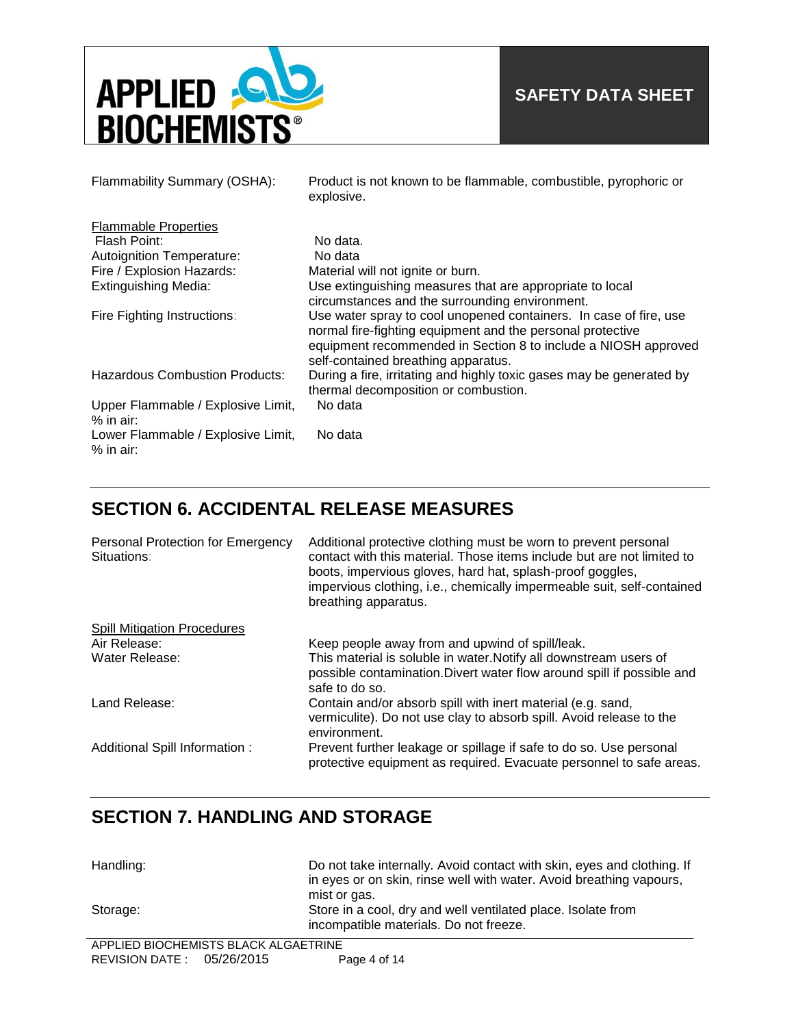

| Flammability Summary (OSHA):                      | Product is not known to be flammable, combustible, pyrophoric or<br>explosive.                                                                                                                                                           |
|---------------------------------------------------|------------------------------------------------------------------------------------------------------------------------------------------------------------------------------------------------------------------------------------------|
| <b>Flammable Properties</b>                       |                                                                                                                                                                                                                                          |
| Flash Point:                                      | No data.                                                                                                                                                                                                                                 |
| Autoignition Temperature:                         | No data                                                                                                                                                                                                                                  |
| Fire / Explosion Hazards:                         | Material will not ignite or burn.                                                                                                                                                                                                        |
| <b>Extinguishing Media:</b>                       | Use extinguishing measures that are appropriate to local<br>circumstances and the surrounding environment.                                                                                                                               |
| Fire Fighting Instructions:                       | Use water spray to cool unopened containers. In case of fire, use<br>normal fire-fighting equipment and the personal protective<br>equipment recommended in Section 8 to include a NIOSH approved<br>self-contained breathing apparatus. |
| <b>Hazardous Combustion Products:</b>             | During a fire, irritating and highly toxic gases may be generated by<br>thermal decomposition or combustion.                                                                                                                             |
| Upper Flammable / Explosive Limit,<br>$%$ in air: | No data                                                                                                                                                                                                                                  |
| Lower Flammable / Explosive Limit,<br>$%$ in air: | No data                                                                                                                                                                                                                                  |

## **SECTION 6. ACCIDENTAL RELEASE MEASURES**

| Personal Protection for Emergency<br>Situations: | Additional protective clothing must be worn to prevent personal<br>contact with this material. Those items include but are not limited to<br>boots, impervious gloves, hard hat, splash-proof goggles,<br>impervious clothing, i.e., chemically impermeable suit, self-contained<br>breathing apparatus. |
|--------------------------------------------------|----------------------------------------------------------------------------------------------------------------------------------------------------------------------------------------------------------------------------------------------------------------------------------------------------------|
| <b>Spill Mitigation Procedures</b>               |                                                                                                                                                                                                                                                                                                          |
| Air Release:                                     | Keep people away from and upwind of spill/leak.                                                                                                                                                                                                                                                          |
| Water Release:                                   | This material is soluble in water. Notify all downstream users of<br>possible contamination. Divert water flow around spill if possible and<br>safe to do so.                                                                                                                                            |
| Land Release:                                    | Contain and/or absorb spill with inert material (e.g. sand,<br>vermiculite). Do not use clay to absorb spill. Avoid release to the<br>environment.                                                                                                                                                       |
| Additional Spill Information:                    | Prevent further leakage or spillage if safe to do so. Use personal<br>protective equipment as required. Evacuate personnel to safe areas.                                                                                                                                                                |

# **SECTION 7. HANDLING AND STORAGE**

| Handling: | Do not take internally. Avoid contact with skin, eyes and clothing. If |
|-----------|------------------------------------------------------------------------|
|           | in eyes or on skin, rinse well with water. Avoid breathing vapours,    |
|           | mist or gas.                                                           |
| Storage:  | Store in a cool, dry and well ventilated place. Isolate from           |
|           | incompatible materials. Do not freeze.                                 |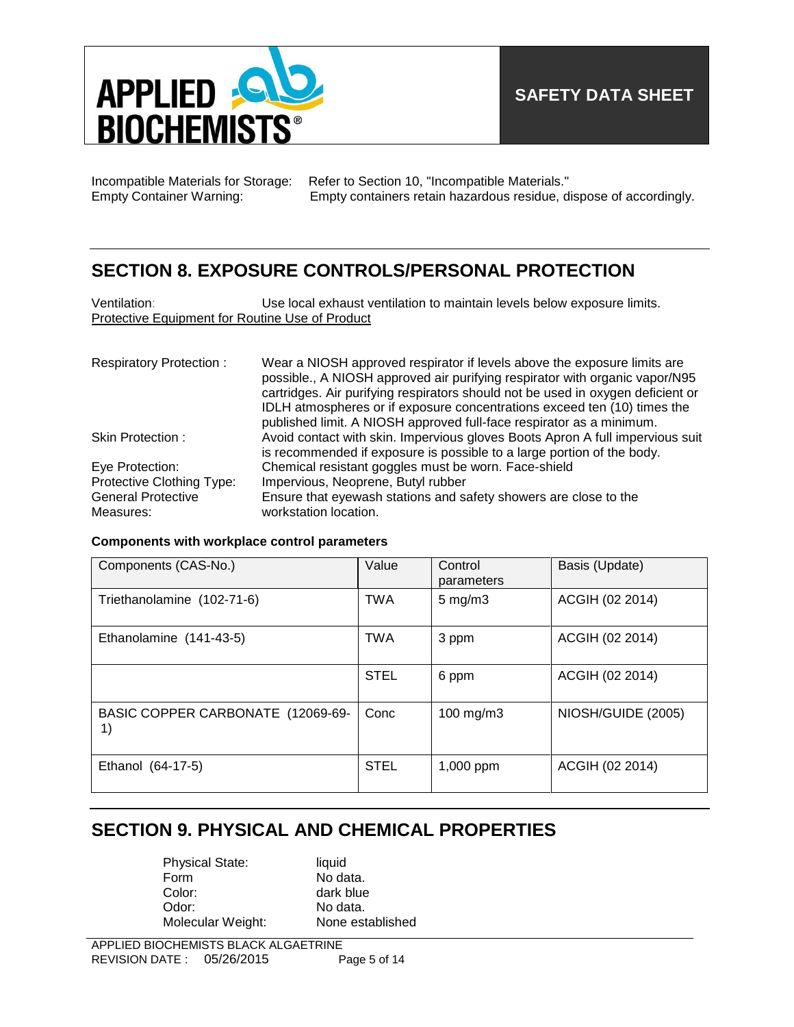

Incompatible Materials for Storage: Refer to Section 10, "Incompatible Materials." Empty Container Warning: Empty containers retain hazardous residue, dispose of accordingly.

### **SECTION 8. EXPOSURE CONTROLS/PERSONAL PROTECTION**

| Ventilation:                                    | Use local exhaust ventilation to maintain levels below exposure limits. |
|-------------------------------------------------|-------------------------------------------------------------------------|
| Protective Equipment for Routine Use of Product |                                                                         |
|                                                 |                                                                         |

| <b>Respiratory Protection:</b> | Wear a NIOSH approved respirator if levels above the exposure limits are<br>possible., A NIOSH approved air purifying respirator with organic vapor/N95<br>cartridges. Air purifying respirators should not be used in oxygen deficient or<br>IDLH atmospheres or if exposure concentrations exceed ten (10) times the |
|--------------------------------|------------------------------------------------------------------------------------------------------------------------------------------------------------------------------------------------------------------------------------------------------------------------------------------------------------------------|
|                                | published limit. A NIOSH approved full-face respirator as a minimum.                                                                                                                                                                                                                                                   |
| Skin Protection:               | Avoid contact with skin. Impervious gloves Boots Apron A full impervious suit                                                                                                                                                                                                                                          |
|                                | is recommended if exposure is possible to a large portion of the body.                                                                                                                                                                                                                                                 |
| Eye Protection:                | Chemical resistant goggles must be worn. Face-shield                                                                                                                                                                                                                                                                   |
| Protective Clothing Type:      | Impervious, Neoprene, Butyl rubber                                                                                                                                                                                                                                                                                     |
| <b>General Protective</b>      | Ensure that eyewash stations and safety showers are close to the                                                                                                                                                                                                                                                       |
| Measures:                      | workstation location.                                                                                                                                                                                                                                                                                                  |

### **Components with workplace control parameters**

| Components (CAS-No.)                    | Value       | Control<br>parameters | Basis (Update)     |
|-----------------------------------------|-------------|-----------------------|--------------------|
| Triethanolamine (102-71-6)              | <b>TWA</b>  | $5 \text{ mg/m}$ 3    | ACGIH (02 2014)    |
| Ethanolamine (141-43-5)                 | <b>TWA</b>  | 3 ppm                 | ACGIH (02 2014)    |
|                                         | <b>STEL</b> | 6 ppm                 | ACGIH (02 2014)    |
| BASIC COPPER CARBONATE (12069-69-<br>1) | Conc        | 100 mg/m3             | NIOSH/GUIDE (2005) |
| Ethanol (64-17-5)                       | <b>STEL</b> | 1,000 ppm             | ACGIH (02 2014)    |

## **SECTION 9. PHYSICAL AND CHEMICAL PROPERTIES**

Physical State: liquid<br>Form No da Form No data.<br>Color: dark blue dark blue Odor: No data.<br>
Molecular Weight: None established Molecular Weight: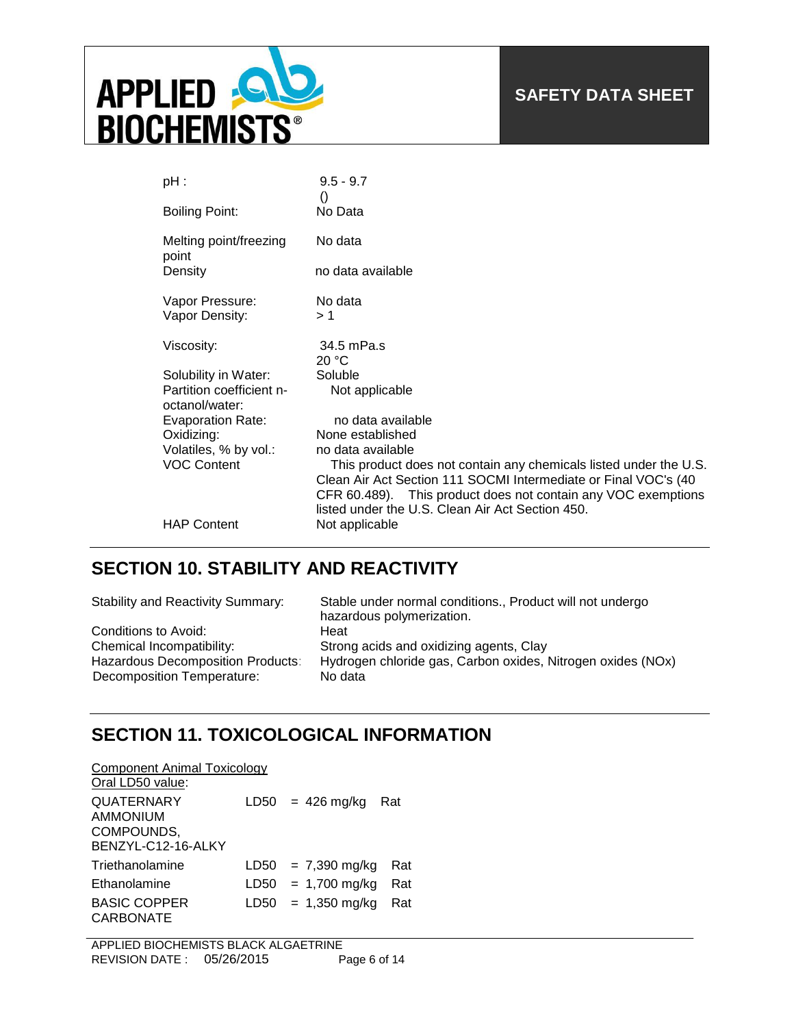

| pH :                                       | $9.5 - 9.7$                                                                                                       |
|--------------------------------------------|-------------------------------------------------------------------------------------------------------------------|
| <b>Boiling Point:</b>                      | $\left( \right)$<br>No Data                                                                                       |
| Melting point/freezing<br>point            | No data                                                                                                           |
| Density                                    | no data available                                                                                                 |
| Vapor Pressure:                            | No data                                                                                                           |
| Vapor Density:                             | >1                                                                                                                |
| Viscosity:                                 | 34.5 mPa.s                                                                                                        |
|                                            | 20 °C                                                                                                             |
| Solubility in Water:                       | Soluble                                                                                                           |
| Partition coefficient n-<br>octanol/water: | Not applicable                                                                                                    |
| <b>Evaporation Rate:</b>                   | no data available                                                                                                 |
| Oxidizing:                                 | None established                                                                                                  |
| Volatiles, % by vol.:                      | no data available                                                                                                 |
| <b>VOC Content</b>                         | This product does not contain any chemicals listed under the U.S.                                                 |
|                                            | Clean Air Act Section 111 SOCMI Intermediate or Final VOC's (40                                                   |
|                                            | CFR 60.489). This product does not contain any VOC exemptions<br>listed under the U.S. Clean Air Act Section 450. |
|                                            |                                                                                                                   |
| <b>HAP Content</b>                         | Not applicable                                                                                                    |

# **SECTION 10. STABILITY AND REACTIVITY**

| <b>Stability and Reactivity Summary:</b> | Stable under normal conditions., Product will not undergo<br>hazardous polymerization. |
|------------------------------------------|----------------------------------------------------------------------------------------|
| Conditions to Avoid:                     | Heat                                                                                   |
| Chemical Incompatibility:                | Strong acids and oxidizing agents, Clay                                                |
| <b>Hazardous Decomposition Products:</b> | Hydrogen chloride gas, Carbon oxides, Nitrogen oxides (NOx)                            |
| Decomposition Temperature:               | No data                                                                                |

## **SECTION 11. TOXICOLOGICAL INFORMATION**

| <b>Component Animal Toxicology</b> |      |                      |     |
|------------------------------------|------|----------------------|-----|
| Oral LD50 value:                   |      |                      |     |
| <b>QUATERNARY</b>                  |      | $LD50 = 426$ mg/kg   | Rat |
| AMMONIUM                           |      |                      |     |
| COMPOUNDS,                         |      |                      |     |
| BENZYL-C12-16-ALKY                 |      |                      |     |
| Triethanolamine                    | LD50 | = 7,390 mg/kg        | Rat |
| Ethanolamine                       |      | $LD50 = 1,700$ mg/kg | Rat |
| <b>BASIC COPPER</b>                |      | $LD50 = 1,350$ mg/kg | Rat |
| CARBONATE                          |      |                      |     |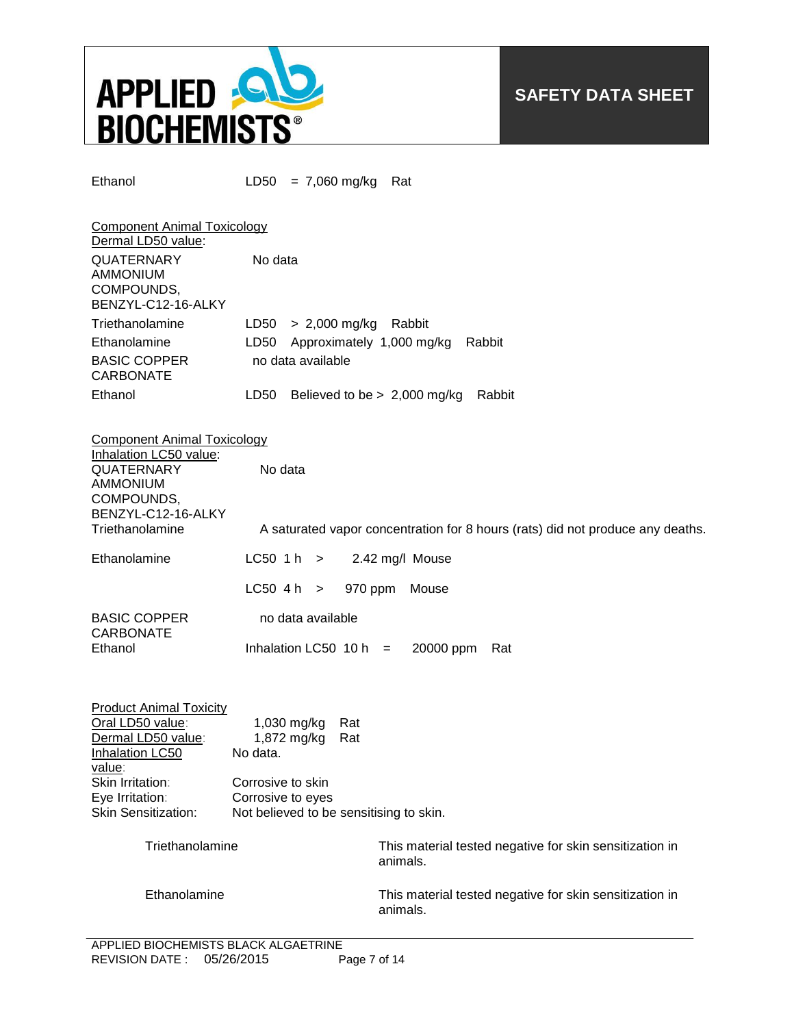

Ethanol LD50 = 7,060 mg/kg Rat

| <b>Component Animal Toxicology</b><br>Dermal LD50 value:                 |         |                                          |
|--------------------------------------------------------------------------|---------|------------------------------------------|
| <b>QUATERNARY</b><br><b>AMMONIUM</b><br>COMPOUNDS,<br>BENZYL-C12-16-ALKY | No data |                                          |
| Triethanolamine                                                          |         | $LD50 > 2,000$ mg/kg<br>Rabbit           |
| Ethanolamine                                                             | LD50    | Approximately 1,000 mg/kg<br>Rabbit      |
| <b>BASIC COPPER</b><br><b>CARBONATE</b>                                  |         | no data available                        |
| Ethanol                                                                  | LD50    | Believed to be $> 2,000$ mg/kg<br>Rabbit |

| <b>Component Animal Toxicology</b><br>Inhalation LC50 value:<br><b>QUATERNARY</b><br><b>AMMONIUM</b><br>COMPOUNDS,<br>BENZYL-C12-16-ALKY<br>Triethanolamine         | No data                                                                                                                                   | A saturated vapor concentration for 8 hours (rats) did not produce any deaths. |
|---------------------------------------------------------------------------------------------------------------------------------------------------------------------|-------------------------------------------------------------------------------------------------------------------------------------------|--------------------------------------------------------------------------------|
| Ethanolamine                                                                                                                                                        | L C50 1 h >                                                                                                                               | 2.42 mg/l Mouse                                                                |
|                                                                                                                                                                     | $LC50$ 4 h $>$<br>970 ppm                                                                                                                 | Mouse                                                                          |
| <b>BASIC COPPER</b><br><b>CARBONATE</b><br>Ethanol                                                                                                                  | no data available<br>Inhalation LC50 10 h $=$                                                                                             | 20000 ppm<br>Rat                                                               |
| <b>Product Animal Toxicity</b><br>Oral LD50 value:<br>Dermal LD50 value:<br>Inhalation LC50<br>value:<br>Skin Irritation:<br>Eye Irritation:<br>Skin Sensitization: | 1,030 mg/kg<br>Rat<br>1,872 mg/kg<br>Rat<br>No data.<br>Corrosive to skin<br>Corrosive to eyes<br>Not believed to be sensitising to skin. |                                                                                |
| Triethanolamine                                                                                                                                                     |                                                                                                                                           | This material tested negative for skin sensitization in<br>animals.            |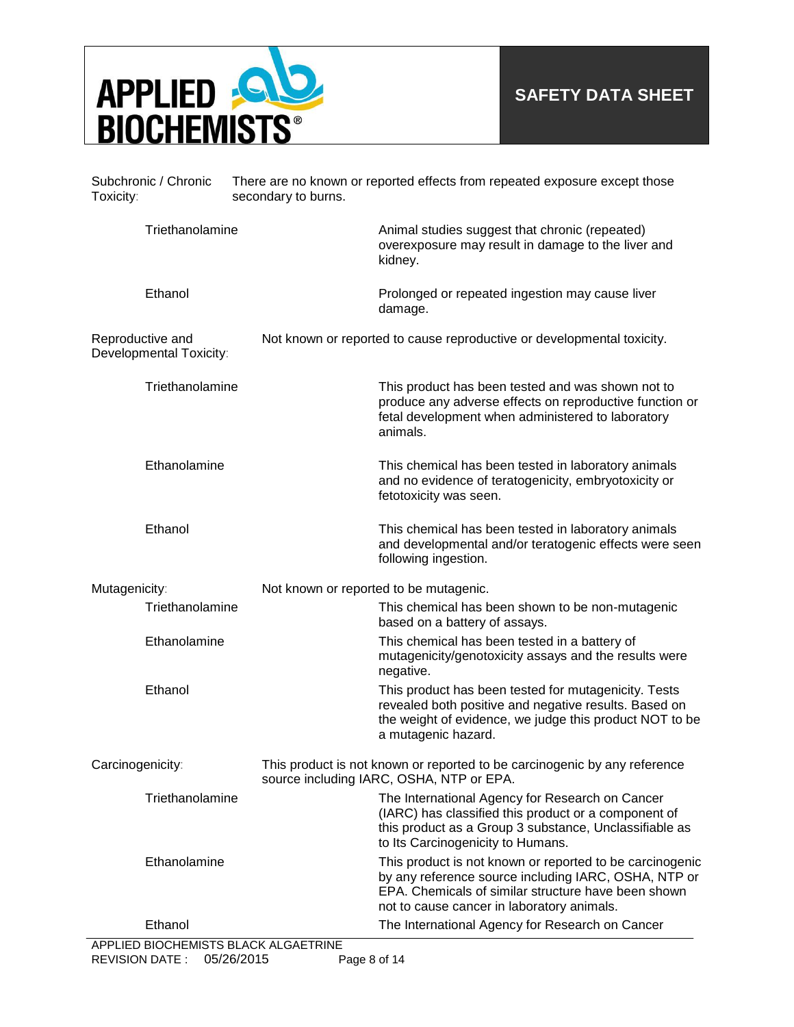

| Subchronic / Chronic<br>Toxicity: |                         | secondary to burns.                    | There are no known or reported effects from repeated exposure except those                                                                                                                                            |
|-----------------------------------|-------------------------|----------------------------------------|-----------------------------------------------------------------------------------------------------------------------------------------------------------------------------------------------------------------------|
|                                   | Triethanolamine         |                                        | Animal studies suggest that chronic (repeated)<br>overexposure may result in damage to the liver and<br>kidney.                                                                                                       |
|                                   | Ethanol                 |                                        | Prolonged or repeated ingestion may cause liver<br>damage.                                                                                                                                                            |
| Reproductive and                  | Developmental Toxicity: |                                        | Not known or reported to cause reproductive or developmental toxicity.                                                                                                                                                |
|                                   | Triethanolamine         |                                        | This product has been tested and was shown not to<br>produce any adverse effects on reproductive function or<br>fetal development when administered to laboratory<br>animals.                                         |
|                                   | Ethanolamine            |                                        | This chemical has been tested in laboratory animals<br>and no evidence of teratogenicity, embryotoxicity or<br>fetotoxicity was seen.                                                                                 |
|                                   | Ethanol                 |                                        | This chemical has been tested in laboratory animals<br>and developmental and/or teratogenic effects were seen<br>following ingestion.                                                                                 |
| Mutagenicity:                     |                         | Not known or reported to be mutagenic. |                                                                                                                                                                                                                       |
|                                   | Triethanolamine         |                                        | This chemical has been shown to be non-mutagenic<br>based on a battery of assays.                                                                                                                                     |
|                                   | Ethanolamine            |                                        | This chemical has been tested in a battery of<br>mutagenicity/genotoxicity assays and the results were<br>negative.                                                                                                   |
|                                   | Ethanol                 |                                        | This product has been tested for mutagenicity. Tests<br>revealed both positive and negative results. Based on<br>the weight of evidence, we judge this product NOT to be<br>a mutagenic hazard.                       |
| Carcinogenicity:                  |                         |                                        | This product is not known or reported to be carcinogenic by any reference<br>source including IARC, OSHA, NTP or EPA.                                                                                                 |
|                                   | Triethanolamine         |                                        | The International Agency for Research on Cancer<br>(IARC) has classified this product or a component of<br>this product as a Group 3 substance, Unclassifiable as<br>to Its Carcinogenicity to Humans.                |
|                                   | Ethanolamine            |                                        | This product is not known or reported to be carcinogenic<br>by any reference source including IARC, OSHA, NTP or<br>EPA. Chemicals of similar structure have been shown<br>not to cause cancer in laboratory animals. |
|                                   | Ethanol                 | APPLIED BIOCHEMISTS BLACK ALGAETRINE   | The International Agency for Research on Cancer                                                                                                                                                                       |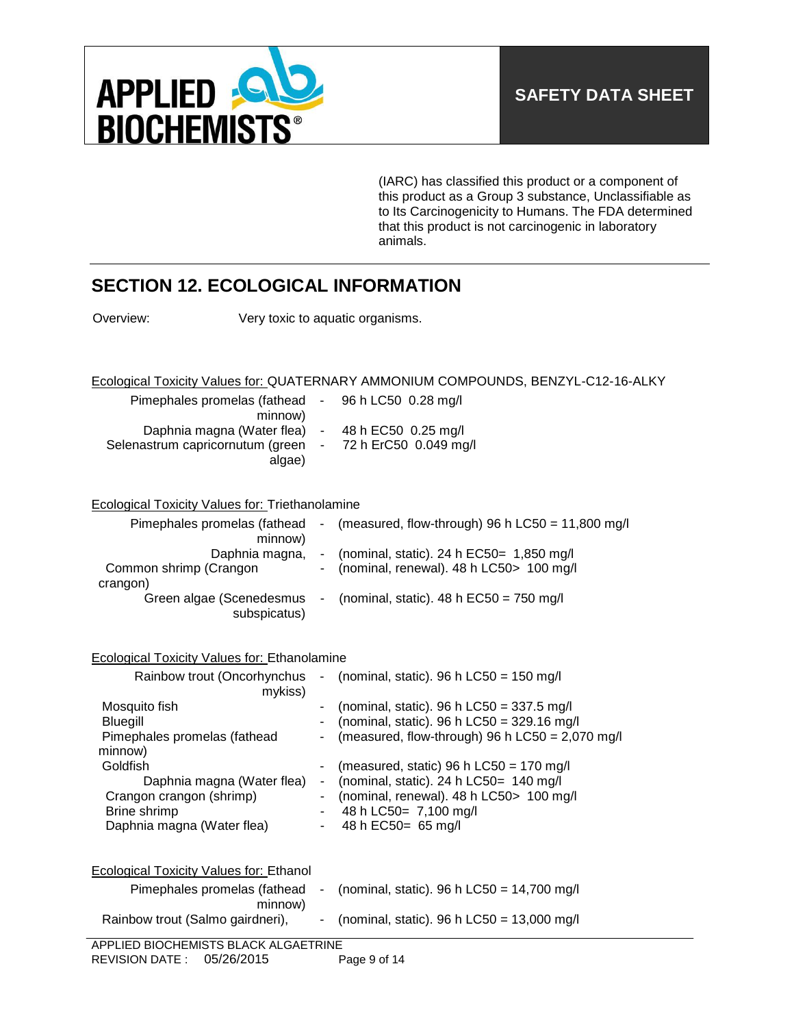

(IARC) has classified this product or a component of this product as a Group 3 substance, Unclassifiable as to Its Carcinogenicity to Humans. The FDA determined that this product is not carcinogenic in laboratory animals.

# **SECTION 12. ECOLOGICAL INFORMATION**

Overview: Very toxic to aquatic organisms.

Ecological Toxicity Values for: QUATERNARY AMMONIUM COMPOUNDS, BENZYL-C12-16-ALKY

| Pimephales promelas (fathead - 96 h LC50 0.28 mg/l        |  |
|-----------------------------------------------------------|--|
| minnow)                                                   |  |
| Daphnia magna (Water flea) - 48 h EC50 0.25 mg/l          |  |
| Selenastrum capricornutum (green - 72 h ErC50 0.049 mg/l) |  |
| algae)                                                    |  |

### Ecological Toxicity Values for: Triethanolamine

| Pimephales promelas (fathead<br>minnow)              | $\blacksquare$ | (measured, flow-through) 96 h $LC50 = 11,800$ mg/l                                          |
|------------------------------------------------------|----------------|---------------------------------------------------------------------------------------------|
| Daphnia magna,<br>Common shrimp (Crangon<br>crangon) |                | - (nominal, static). 24 h $EC50 = 1,850$ mg/l<br>- (nominal, renewal). 48 h LC50 > 100 mg/l |
| Green algae (Scenedesmus<br>subspicatus)             | $\sim$         | (nominal, static). 48 h $EC50 = 750$ mg/l                                                   |

### Ecological Toxicity Values for: Ethanolamine

| Rainbow trout (Oncorhynchus<br>mykiss)                                                                                                                                                          | $\blacksquare$           | (nominal, static). 96 h $LC50 = 150$ mg/l                                                                                                                                                                                                                                                                                             |
|-------------------------------------------------------------------------------------------------------------------------------------------------------------------------------------------------|--------------------------|---------------------------------------------------------------------------------------------------------------------------------------------------------------------------------------------------------------------------------------------------------------------------------------------------------------------------------------|
| Mosquito fish<br><b>Bluegill</b><br>Pimephales promelas (fathead<br>minnow)<br>Goldfish<br>Daphnia magna (Water flea)<br>Crangon crangon (shrimp)<br>Brine shrimp<br>Daphnia magna (Water flea) | $\overline{\phantom{a}}$ | (nominal, static). 96 h LC50 = $337.5$ mg/l<br>(nominal, static). 96 h LC50 = $329.16$ mg/l<br>(measured, flow-through) 96 h LC50 = $2,070$ mg/l<br>(measured, static) 96 h $LC50 = 170$ mg/l<br>(nominal, static). 24 h $LC50 = 140$ mg/l<br>(nominal, renewal). 48 h LC50 > 100 mg/l<br>48 h LC50= 7,100 mg/l<br>48 h EC50= 65 mg/l |
| Ecological Toxicity Values for: Ethanol<br>Pimephales promelas (fathead                                                                                                                         |                          | (nominal, static). 96 h LC50 = $14,700$ mg/l                                                                                                                                                                                                                                                                                          |
| minnow)<br>Rainbow trout (Salmo gairdneri),                                                                                                                                                     |                          | (nominal, static). 96 h LC50 = $13,000$ mg/l                                                                                                                                                                                                                                                                                          |
| APPLIED BIOCHEMISTS BLACK ALGAETRINE                                                                                                                                                            |                          |                                                                                                                                                                                                                                                                                                                                       |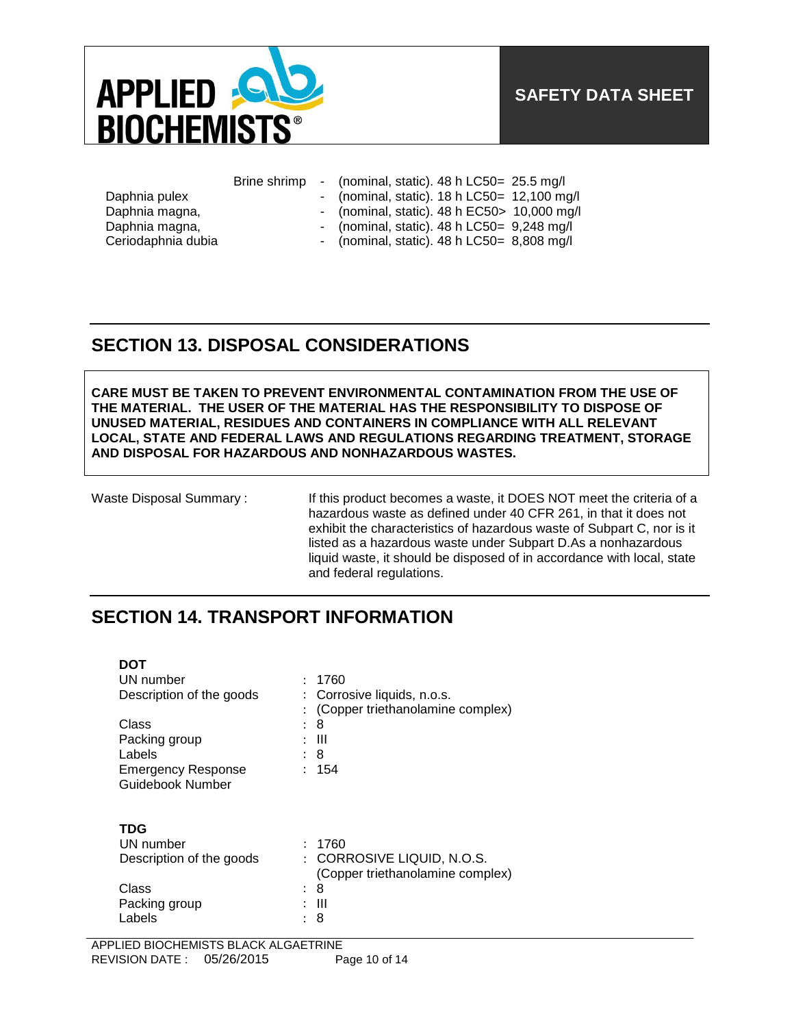

|  | Brine shrimp |  |  |  | (nominal, static). 48 h LC50= 25.5 mg/l |  |
|--|--------------|--|--|--|-----------------------------------------|--|
|--|--------------|--|--|--|-----------------------------------------|--|

- Daphnia pulex (nominal, static). 18 h LC50= 12,100 mg/l
- Daphnia magna, magnitic mercurity of the magnitude of the magnitude of the magnitude of the magnitude of the magnitude of the magnitude of the magnitude of the magnitude of the magnitude of the magnitude of the magnitude o
- Daphnia magna, etc. etc. Arr and the momentum of the magna, the magna magna magna magna magna magna magna magn
- 
- Ceriodaphnia dubia (nominal, static). 48 h LC50= 8,808 mg/l

# **SECTION 13. DISPOSAL CONSIDERATIONS**

**CARE MUST BE TAKEN TO PREVENT ENVIRONMENTAL CONTAMINATION FROM THE USE OF THE MATERIAL. THE USER OF THE MATERIAL HAS THE RESPONSIBILITY TO DISPOSE OF UNUSED MATERIAL, RESIDUES AND CONTAINERS IN COMPLIANCE WITH ALL RELEVANT LOCAL, STATE AND FEDERAL LAWS AND REGULATIONS REGARDING TREATMENT, STORAGE AND DISPOSAL FOR HAZARDOUS AND NONHAZARDOUS WASTES.** 

**DOT** 

Waste Disposal Summary : If this product becomes a waste, it DOES NOT meet the criteria of a hazardous waste as defined under 40 CFR 261, in that it does not exhibit the characteristics of hazardous waste of Subpart C, nor is it listed as a hazardous waste under Subpart D.As a nonhazardous liquid waste, it should be disposed of in accordance with local, state and federal regulations.

## **SECTION 14. TRANSPORT INFORMATION**

| וש                        |                                  |
|---------------------------|----------------------------------|
| UN number                 | 1760                             |
| Description of the goods  | Corrosive liquids, n.o.s.<br>÷   |
|                           | (Copper triethanolamine complex) |
| Class                     | 8<br>$\ddot{\phantom{0}}$        |
| Packing group             | Ш                                |
| Labels                    | 8                                |
| <b>Emergency Response</b> | 154                              |
| <b>Guidebook Number</b>   |                                  |
|                           |                                  |
|                           |                                  |
| TDG                       |                                  |
| UN number                 | 1760                             |
| Description of the goods  | CORROSIVE LIQUID, N.O.S.<br>÷    |
|                           | (Copper triethanolamine complex) |
| Class                     | 8<br>۰.                          |
| Packing group             | Ш                                |
| Labels                    | 8                                |
|                           |                                  |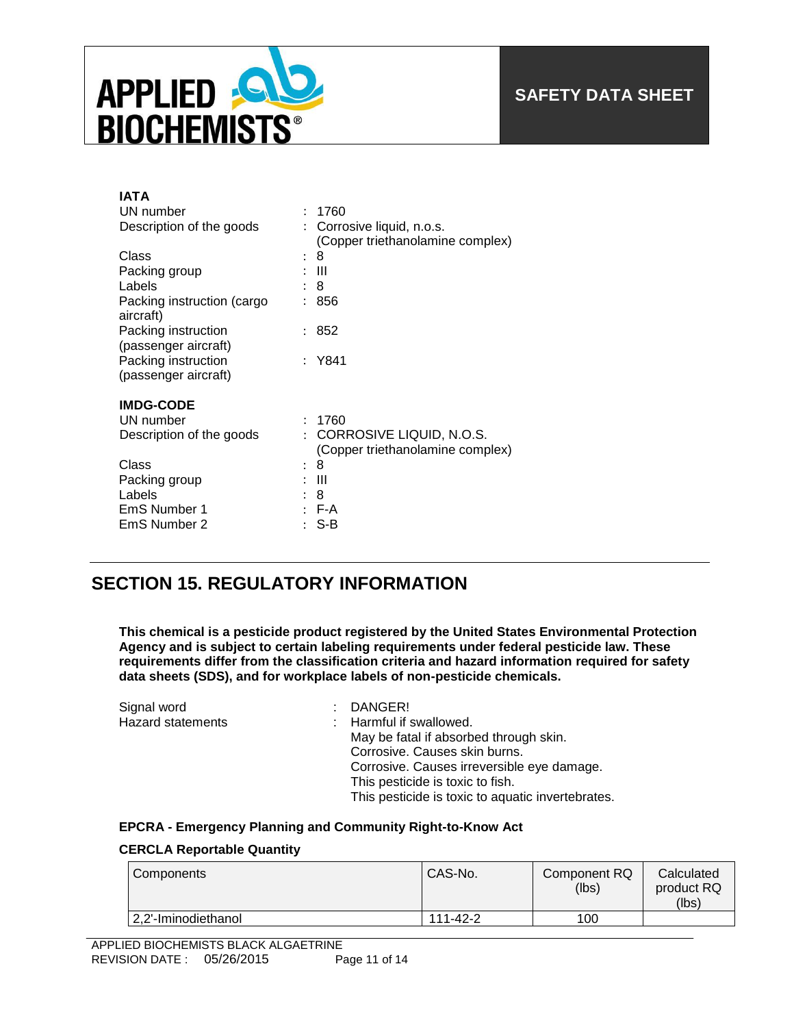

| IATA                                        |                                                              |
|---------------------------------------------|--------------------------------------------------------------|
| UN number                                   | 1760                                                         |
| Description of the goods                    | Corrosive liquid, n.o.s.<br>(Copper triethanolamine complex) |
| Class                                       | 8                                                            |
| Packing group                               | Ш                                                            |
| Labels                                      | 8                                                            |
| Packing instruction (cargo<br>aircraft)     | 856                                                          |
| Packing instruction<br>(passenger aircraft) | 852                                                          |
| Packing instruction<br>(passenger aircraft) | : Y841                                                       |
| <b>IMDG-CODE</b>                            |                                                              |
| UN number                                   | 1760                                                         |
| Description of the goods                    | CORROSIVE LIQUID, N.O.S.<br>(Copper triethanolamine complex) |
| Class                                       | 8                                                            |
| Packing group                               | Ш                                                            |
| Labels                                      | 8                                                            |
| EmS Number 1                                | F-A                                                          |
| EmS Number 2                                | S-B                                                          |

## **SECTION 15. REGULATORY INFORMATION**

**This chemical is a pesticide product registered by the United States Environmental Protection Agency and is subject to certain labeling requirements under federal pesticide law. These requirements differ from the classification criteria and hazard information required for safety data sheets (SDS), and for workplace labels of non-pesticide chemicals.**

| Signal word              | $:$ DANGER!                                       |
|--------------------------|---------------------------------------------------|
| <b>Hazard statements</b> | : Harmful if swallowed.                           |
|                          | May be fatal if absorbed through skin.            |
|                          | Corrosive. Causes skin burns.                     |
|                          | Corrosive. Causes irreversible eye damage.        |
|                          | This pesticide is toxic to fish.                  |
|                          | This pesticide is toxic to aquatic invertebrates. |

### **EPCRA - Emergency Planning and Community Right-to-Know Act**

### **CERCLA Reportable Quantity**

| Components          | CAS-No.  | Component RQ<br>(lbs) | Calculated<br>product RQ<br>(lbs) |
|---------------------|----------|-----------------------|-----------------------------------|
| 2,2'-Iminodiethanol | 111-42-2 | 100                   |                                   |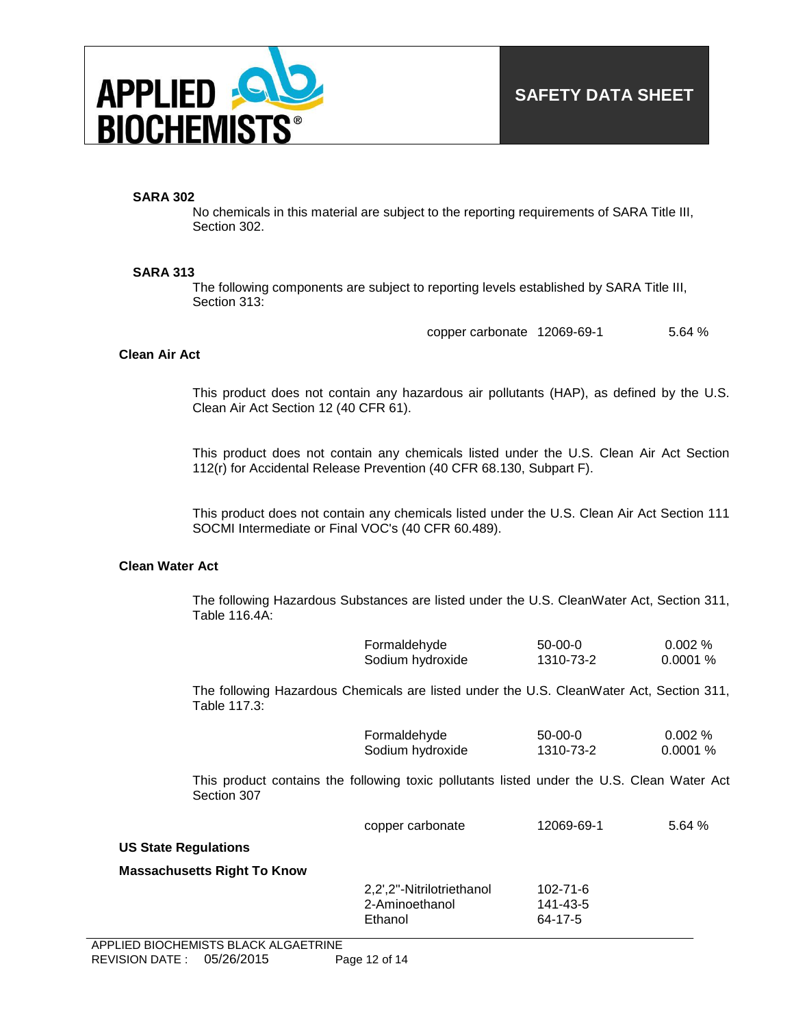

### **SARA 302**

No chemicals in this material are subject to the reporting requirements of SARA Title III, Section 302.

#### **SARA 313**

The following components are subject to reporting levels established by SARA Title III, Section 313:

copper carbonate 12069-69-1 5.64 %

#### **Clean Air Act**

This product does not contain any hazardous air pollutants (HAP), as defined by the U.S. Clean Air Act Section 12 (40 CFR 61).

This product does not contain any chemicals listed under the U.S. Clean Air Act Section 112(r) for Accidental Release Prevention (40 CFR 68.130, Subpart F).

This product does not contain any chemicals listed under the U.S. Clean Air Act Section 111 SOCMI Intermediate or Final VOC's (40 CFR 60.489).

#### **Clean Water Act**

The following Hazardous Substances are listed under the U.S. CleanWater Act, Section 311, Table 116.4A:

| Formaldehyde     | $50-00-0$ | $0.002\ \%$ |
|------------------|-----------|-------------|
| Sodium hydroxide | 1310-73-2 | 0.0001%     |

The following Hazardous Chemicals are listed under the U.S. CleanWater Act, Section 311, Table 117.3:

| Formaldehyde     | $50-00-0$ | $0.002\%$ |
|------------------|-----------|-----------|
| Sodium hydroxide | 1310-73-2 | 0.0001%   |

This product contains the following toxic pollutants listed under the U.S. Clean Water Act Section 307

| copper carbonate | 12069-69-1 | 5.64% |
|------------------|------------|-------|
|                  |            |       |

#### **US State Regulations**

#### **Massachusetts Right To Know**

| 102-71-6 |
|----------|
| 141-43-5 |
| 64-17-5  |
|          |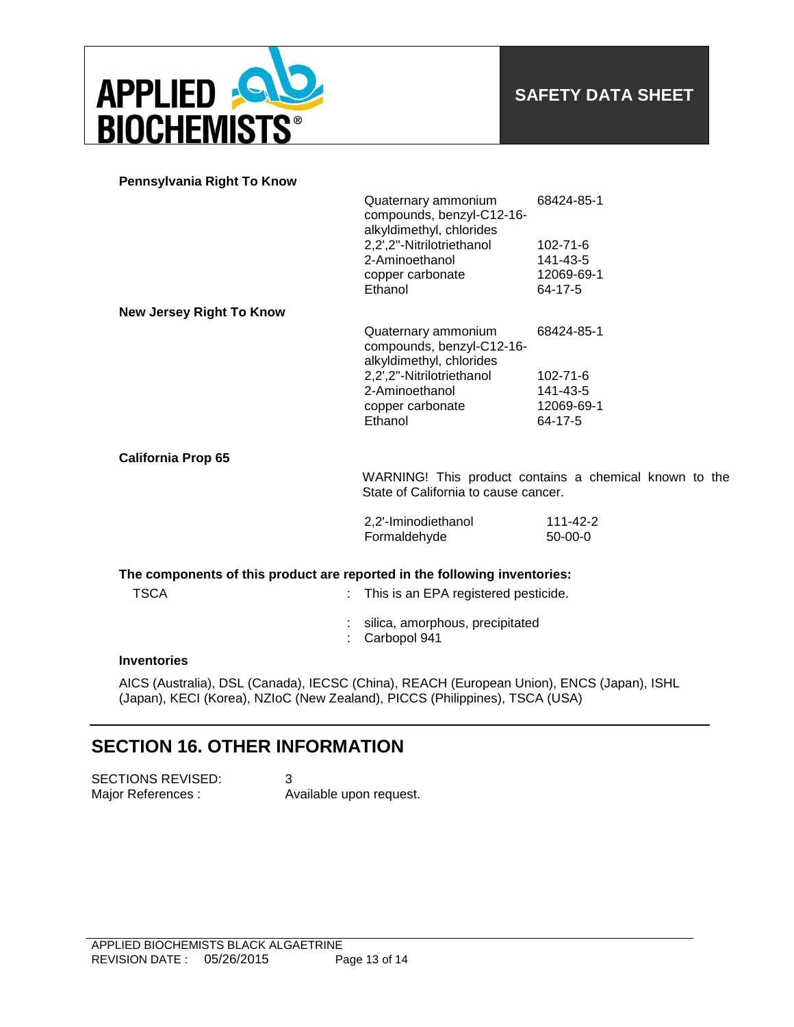

| Pennsylvania Right To Know |  |  |
|----------------------------|--|--|
|                            |  |  |

|                                                                           | Quaternary ammonium<br>compounds, benzyl-C12-16-<br>alkyldimethyl, chlorides                   | 68424-85-1     |
|---------------------------------------------------------------------------|------------------------------------------------------------------------------------------------|----------------|
|                                                                           | 2,2',2"-Nitrilotriethanol                                                                      | $102 - 71 - 6$ |
|                                                                           | 2-Aminoethanol                                                                                 | 141-43-5       |
|                                                                           | copper carbonate                                                                               | 12069-69-1     |
|                                                                           | Ethanol                                                                                        | 64-17-5        |
| <b>New Jersey Right To Know</b>                                           |                                                                                                |                |
|                                                                           | Quaternary ammonium<br>compounds, benzyl-C12-16-<br>alkyldimethyl, chlorides                   | 68424-85-1     |
|                                                                           | 2,2',2"-Nitrilotriethanol                                                                      | $102 - 71 - 6$ |
|                                                                           | 2-Aminoethanol                                                                                 | 141-43-5       |
|                                                                           | copper carbonate                                                                               | 12069-69-1     |
|                                                                           | Ethanol                                                                                        | 64-17-5        |
| <b>California Prop 65</b>                                                 |                                                                                                |                |
|                                                                           | WARNING! This product contains a chemical known to the<br>State of California to cause cancer. |                |
|                                                                           | 2,2'-Iminodiethanol                                                                            | $111 - 42 - 2$ |
|                                                                           | Formaldehyde                                                                                   | $50-00-0$      |
| The components of this product are reported in the following inventories: |                                                                                                |                |
| <b>TSCA</b>                                                               | This is an EPA registered pesticide.                                                           |                |
|                                                                           | silica, amorphous, precipitated<br>Carbopol 941                                                |                |

#### **Inventories**

AICS (Australia), DSL (Canada), IECSC (China), REACH (European Union), ENCS (Japan), ISHL (Japan), KECI (Korea), NZIoC (New Zealand), PICCS (Philippines), TSCA (USA)

# **SECTION 16. OTHER INFORMATION**

SECTIONS REVISED: 3 Major References : Available upon request.